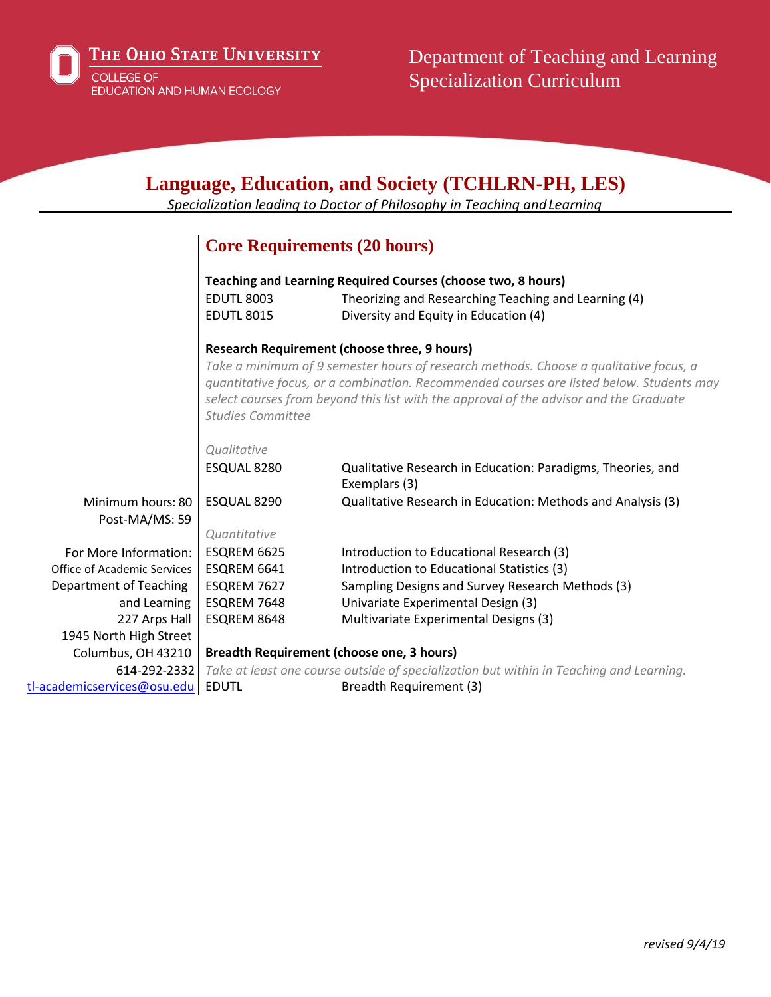

| <b>Language, Education, and Society (TCHLRN-PH, LES)</b><br>Specialization leading to Doctor of Philosophy in Teaching and Learning |                                                              |                                                                                                                                                                                                                                                                             |  |
|-------------------------------------------------------------------------------------------------------------------------------------|--------------------------------------------------------------|-----------------------------------------------------------------------------------------------------------------------------------------------------------------------------------------------------------------------------------------------------------------------------|--|
|                                                                                                                                     | <b>Core Requirements (20 hours)</b>                          |                                                                                                                                                                                                                                                                             |  |
|                                                                                                                                     | Teaching and Learning Required Courses (choose two, 8 hours) |                                                                                                                                                                                                                                                                             |  |
|                                                                                                                                     | <b>EDUTL 8003</b><br><b>EDUTL 8015</b>                       | Theorizing and Researching Teaching and Learning (4)<br>Diversity and Equity in Education (4)                                                                                                                                                                               |  |
|                                                                                                                                     |                                                              | <b>Research Requirement (choose three, 9 hours)</b>                                                                                                                                                                                                                         |  |
|                                                                                                                                     | <b>Studies Committee</b>                                     | Take a minimum of 9 semester hours of research methods. Choose a qualitative focus, a<br>quantitative focus, or a combination. Recommended courses are listed below. Students may<br>select courses from beyond this list with the approval of the advisor and the Graduate |  |
|                                                                                                                                     | Qualitative                                                  |                                                                                                                                                                                                                                                                             |  |
|                                                                                                                                     | ESQUAL 8280                                                  | Qualitative Research in Education: Paradigms, Theories, and<br>Exemplars (3)                                                                                                                                                                                                |  |
| Minimum hours: 80<br>Post-MA/MS: 59                                                                                                 | ESQUAL 8290                                                  | Qualitative Research in Education: Methods and Analysis (3)                                                                                                                                                                                                                 |  |
|                                                                                                                                     | Quantitative                                                 |                                                                                                                                                                                                                                                                             |  |
| For More Information:                                                                                                               | ESQREM 6625                                                  | Introduction to Educational Research (3)                                                                                                                                                                                                                                    |  |
| Office of Academic Services                                                                                                         | ESQREM 6641                                                  | Introduction to Educational Statistics (3)                                                                                                                                                                                                                                  |  |
| Department of Teaching                                                                                                              | ESQREM 7627                                                  | Sampling Designs and Survey Research Methods (3)                                                                                                                                                                                                                            |  |
| and Learning                                                                                                                        | ESQREM 7648                                                  | Univariate Experimental Design (3)                                                                                                                                                                                                                                          |  |
| 227 Arps Hall                                                                                                                       | ESQREM 8648                                                  | Multivariate Experimental Designs (3)                                                                                                                                                                                                                                       |  |
| 1945 North High Street                                                                                                              |                                                              |                                                                                                                                                                                                                                                                             |  |
| Columbus, OH 43210                                                                                                                  | <b>Breadth Requirement (choose one, 3 hours)</b>             |                                                                                                                                                                                                                                                                             |  |
| 614-292-2332                                                                                                                        |                                                              | Take at least one course outside of specialization but within in Teaching and Learning.                                                                                                                                                                                     |  |
| tl-academicservices@osu.edu                                                                                                         | <b>EDUTL</b>                                                 | Breadth Requirement (3)                                                                                                                                                                                                                                                     |  |